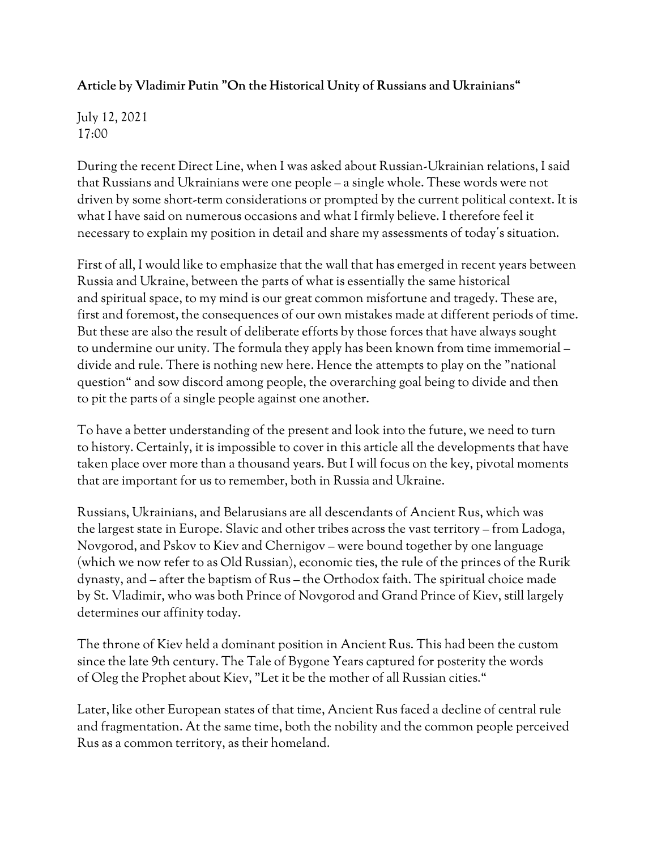## **Article by Vladimir Putin "On the Historical Unity of Russians and Ukrainians"**

July 12, 2021 17:00

During the recent Direct Line, when I was asked about Russian-Ukrainian relations, I said that Russians and Ukrainians were one people – a single whole. These words were not driven by some short-term considerations or prompted by the current political context. It is what I have said on numerous occasions and what I firmly believe. I therefore feel it necessary to explain my position in detail and share my assessments of today's situation.

First of all, I would like to emphasize that the wall that has emerged in recent years between Russia and Ukraine, between the parts of what is essentially the same historical and spiritual space, to my mind is our great common misfortune and tragedy. These are, first and foremost, the consequences of our own mistakes made at different periods of time. But these are also the result of deliberate efforts by those forces that have always sought to undermine our unity. The formula they apply has been known from time immemorial – divide and rule. There is nothing new here. Hence the attempts to play on the "national question" and sow discord among people, the overarching goal being to divide and then to pit the parts of a single people against one another.

To have a better understanding of the present and look into the future, we need to turn to history. Certainly, it is impossible to cover in this article all the developments that have taken place over more than a thousand years. But I will focus on the key, pivotal moments that are important for us to remember, both in Russia and Ukraine.

Russians, Ukrainians, and Belarusians are all descendants of Ancient Rus, which was the largest state in Europe. Slavic and other tribes across the vast territory – from Ladoga, Novgorod, and Pskov to Kiev and Chernigov – were bound together by one language (which we now refer to as Old Russian), economic ties, the rule of the princes of the Rurik dynasty, and – after the baptism of Rus – the Orthodox faith. The spiritual choice made by St. Vladimir, who was both Prince of Novgorod and Grand Prince of Kiev, still largely determines our affinity today.

The throne of Kiev held a dominant position in Ancient Rus. This had been the custom since the late 9th century. The Tale of Bygone Years captured for posterity the words of Oleg the Prophet about Kiev, "Let it be the mother of all Russian cities."

Later, like other European states of that time, Ancient Rus faced a decline of central rule and fragmentation. At the same time, both the nobility and the common people perceived Rus as a common territory, as their homeland.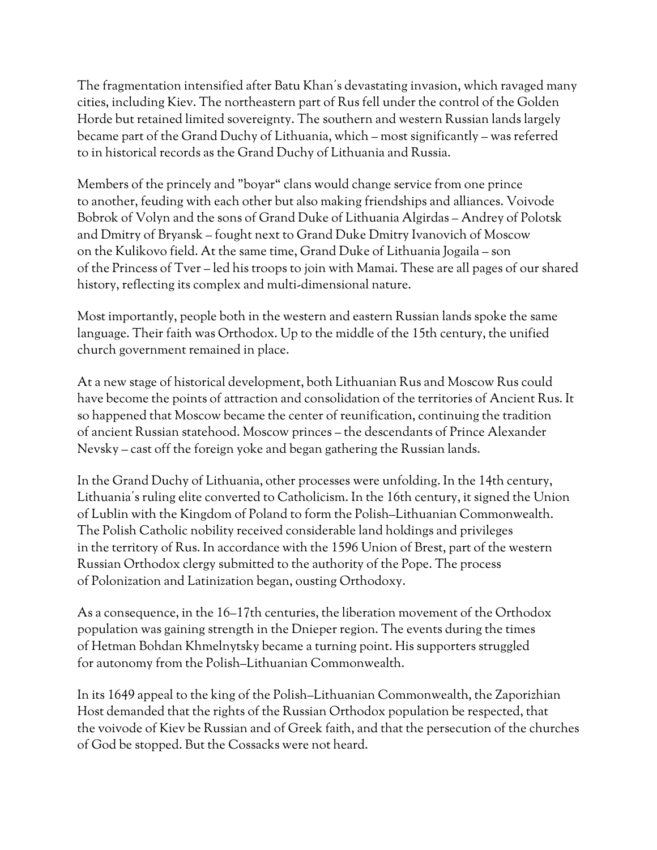The fragmentation intensified after Batu Khan's devastating invasion, which ravaged many cities, including Kiev. The northeastern part of Rus fell under the control of the Golden Horde but retained limited sovereignty. The southern and western Russian lands largely became part of the Grand Duchy of Lithuania, which – most significantly – was referred to in historical records as the Grand Duchy of Lithuania and Russia.

Members of the princely and "boyar" clans would change service from one prince to another, feuding with each other but also making friendships and alliances. Voivode Bobrok of Volyn and the sons of Grand Duke of Lithuania Algirdas – Andrey of Polotsk and Dmitry of Bryansk – fought next to Grand Duke Dmitry Ivanovich of Moscow on the Kulikovo field. At the same time, Grand Duke of Lithuania Jogaila – son of the Princess of Tver – led his troops to join with Mamai. These are all pages of our shared history, reflecting its complex and multi-dimensional nature.

Most importantly, people both in the western and eastern Russian lands spoke the same language. Their faith was Orthodox. Up to the middle of the 15th century, the unified church government remained in place.

At a new stage of historical development, both Lithuanian Rus and Moscow Rus could have become the points of attraction and consolidation of the territories of Ancient Rus. It so happened that Moscow became the center of reunification, continuing the tradition of ancient Russian statehood. Moscow princes – the descendants of Prince Alexander Nevsky – cast off the foreign yoke and began gathering the Russian lands.

In the Grand Duchy of Lithuania, other processes were unfolding. In the 14th century, Lithuania's ruling elite converted to Catholicism. In the 16th century, it signed the Union of Lublin with the Kingdom of Poland to form the Polish–Lithuanian Commonwealth. The Polish Catholic nobility received considerable land holdings and privileges in the territory of Rus. In accordance with the 1596 Union of Brest, part of the western Russian Orthodox clergy submitted to the authority of the Pope. The process of Polonization and Latinization began, ousting Orthodoxy.

As a consequence, in the 16–17th centuries, the liberation movement of the Orthodox population was gaining strength in the Dnieper region. The events during the times of Hetman Bohdan Khmelnytsky became a turning point. His supporters struggled for autonomy from the Polish–Lithuanian Commonwealth.

In its 1649 appeal to the king of the Polish–Lithuanian Commonwealth, the Zaporizhian Host demanded that the rights of the Russian Orthodox population be respected, that the voivode of Kiev be Russian and of Greek faith, and that the persecution of the churches of God be stopped. But the Cossacks were not heard.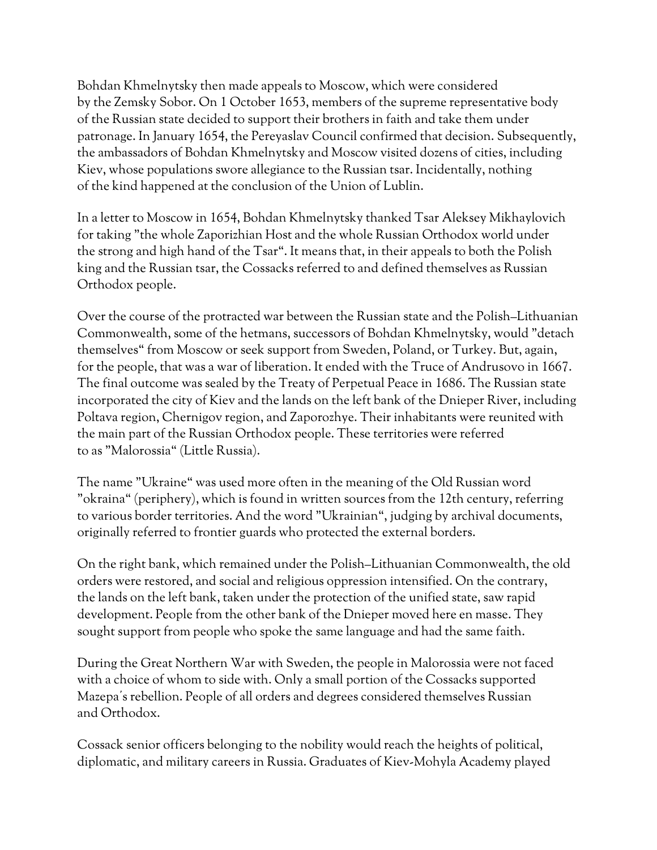Bohdan Khmelnytsky then made appeals to Moscow, which were considered by the Zemsky Sobor. On 1 October 1653, members of the supreme representative body of the Russian state decided to support their brothers in faith and take them under patronage. In January 1654, the Pereyaslav Council confirmed that decision. Subsequently, the ambassadors of Bohdan Khmelnytsky and Moscow visited dozens of cities, including Kiev, whose populations swore allegiance to the Russian tsar. Incidentally, nothing of the kind happened at the conclusion of the Union of Lublin.

In a letter to Moscow in 1654, Bohdan Khmelnytsky thanked Tsar Aleksey Mikhaylovich for taking "the whole Zaporizhian Host and the whole Russian Orthodox world under the strong and high hand of the Tsar". It means that, in their appeals to both the Polish king and the Russian tsar, the Cossacks referred to and defined themselves as Russian Orthodox people.

Over the course of the protracted war between the Russian state and the Polish–Lithuanian Commonwealth, some of the hetmans, successors of Bohdan Khmelnytsky, would "detach themselves" from Moscow or seek support from Sweden, Poland, or Turkey. But, again, for the people, that was a war of liberation. It ended with the Truce of Andrusovo in 1667. The final outcome was sealed by the Treaty of Perpetual Peace in 1686. The Russian state incorporated the city of Kiev and the lands on the left bank of the Dnieper River, including Poltava region, Chernigov region, and Zaporozhye. Their inhabitants were reunited with the main part of the Russian Orthodox people. These territories were referred to as "Malorossia" (Little Russia).

The name "Ukraine" was used more often in the meaning of the Old Russian word "okraina" (periphery), which is found in written sources from the 12th century, referring to various border territories. And the word "Ukrainian", judging by archival documents, originally referred to frontier guards who protected the external borders.

On the right bank, which remained under the Polish–Lithuanian Commonwealth, the old orders were restored, and social and religious oppression intensified. On the contrary, the lands on the left bank, taken under the protection of the unified state, saw rapid development. People from the other bank of the Dnieper moved here en masse. They sought support from people who spoke the same language and had the same faith.

During the Great Northern War with Sweden, the people in Malorossia were not faced with a choice of whom to side with. Only a small portion of the Cossacks supported Mazepa's rebellion. People of all orders and degrees considered themselves Russian and Orthodox.

Cossack senior officers belonging to the nobility would reach the heights of political, diplomatic, and military careers in Russia. Graduates of Kiev-Mohyla Academy played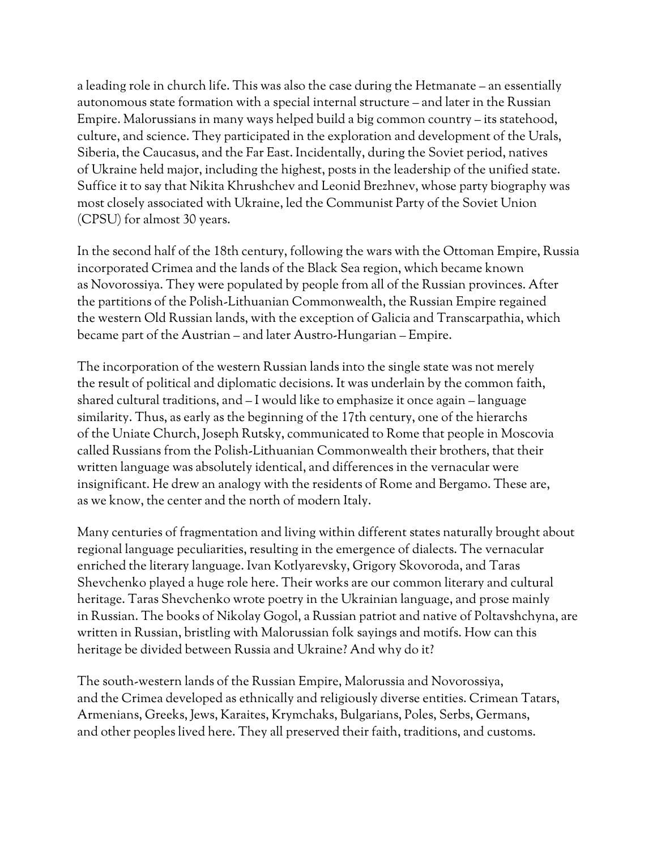a leading role in church life. This was also the case during the Hetmanate – an essentially autonomous state formation with a special internal structure – and later in the Russian Empire. Malorussians in many ways helped build a big common country – its statehood, culture, and science. They participated in the exploration and development of the Urals, Siberia, the Caucasus, and the Far East. Incidentally, during the Soviet period, natives of Ukraine held major, including the highest, posts in the leadership of the unified state. Suffice it to say that Nikita Khrushchev and Leonid Brezhnev, whose party biography was most closely associated with Ukraine, led the Communist Party of the Soviet Union (CPSU) for almost 30 years.

In the second half of the 18th century, following the wars with the Ottoman Empire, Russia incorporated Crimea and the lands of the Black Sea region, which became known as Novorossiya. They were populated by people from all of the Russian provinces. After the partitions of the Polish-Lithuanian Commonwealth, the Russian Empire regained the western Old Russian lands, with the exception of Galicia and Transcarpathia, which became part of the Austrian – and later Austro-Hungarian – Empire.

The incorporation of the western Russian lands into the single state was not merely the result of political and diplomatic decisions. It was underlain by the common faith, shared cultural traditions, and – I would like to emphasize it once again – language similarity. Thus, as early as the beginning of the 17th century, one of the hierarchs of the Uniate Church, Joseph Rutsky, communicated to Rome that people in Moscovia called Russians from the Polish-Lithuanian Commonwealth their brothers, that their written language was absolutely identical, and differences in the vernacular were insignificant. He drew an analogy with the residents of Rome and Bergamo. These are, as we know, the center and the north of modern Italy.

Many centuries of fragmentation and living within different states naturally brought about regional language peculiarities, resulting in the emergence of dialects. The vernacular enriched the literary language. Ivan Kotlyarevsky, Grigory Skovoroda, and Taras Shevchenko played a huge role here. Their works are our common literary and cultural heritage. Taras Shevchenko wrote poetry in the Ukrainian language, and prose mainly in Russian. The books of Nikolay Gogol, a Russian patriot and native of Poltavshchyna, are written in Russian, bristling with Malorussian folk sayings and motifs. How can this heritage be divided between Russia and Ukraine? And why do it?

The south-western lands of the Russian Empire, Malorussia and Novorossiya, and the Crimea developed as ethnically and religiously diverse entities. Crimean Tatars, Armenians, Greeks, Jews, Karaites, Krymchaks, Bulgarians, Poles, Serbs, Germans, and other peoples lived here. They all preserved their faith, traditions, and customs.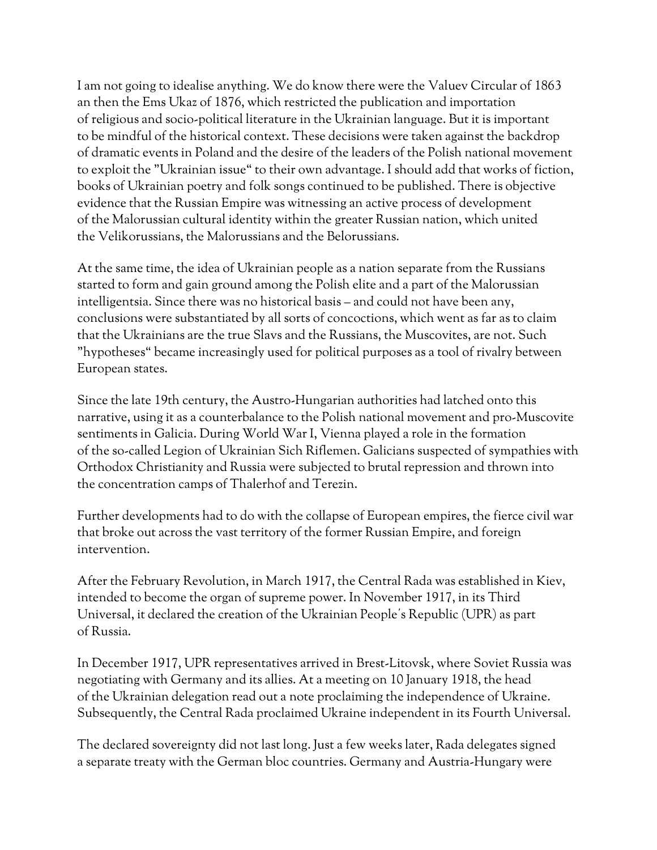I am not going to idealise anything. We do know there were the Valuev Circular of 1863 an then the Ems Ukaz of 1876, which restricted the publication and importation of religious and socio-political literature in the Ukrainian language. But it is important to be mindful of the historical context. These decisions were taken against the backdrop of dramatic events in Poland and the desire of the leaders of the Polish national movement to exploit the "Ukrainian issue" to their own advantage. I should add that works of fiction, books of Ukrainian poetry and folk songs continued to be published. There is objective evidence that the Russian Empire was witnessing an active process of development of the Malorussian cultural identity within the greater Russian nation, which united the Velikorussians, the Malorussians and the Belorussians.

At the same time, the idea of Ukrainian people as a nation separate from the Russians started to form and gain ground among the Polish elite and a part of the Malorussian intelligentsia. Since there was no historical basis – and could not have been any, conclusions were substantiated by all sorts of concoctions, which went as far as to claim that the Ukrainians are the true Slavs and the Russians, the Muscovites, are not. Such "hypotheses" became increasingly used for political purposes as a tool of rivalry between European states.

Since the late 19th century, the Austro-Hungarian authorities had latched onto this narrative, using it as a counterbalance to the Polish national movement and pro-Muscovite sentiments in Galicia. During World War I, Vienna played a role in the formation of the so-called Legion of Ukrainian Sich Riflemen. Galicians suspected of sympathies with Orthodox Christianity and Russia were subjected to brutal repression and thrown into the concentration camps of Thalerhof and Terezin.

Further developments had to do with the collapse of European empires, the fierce civil war that broke out across the vast territory of the former Russian Empire, and foreign intervention.

After the February Revolution, in March 1917, the Central Rada was established in Kiev, intended to become the organ of supreme power. In November 1917, in its Third Universal, it declared the creation of the Ukrainian People's Republic (UPR) as part of Russia.

In December 1917, UPR representatives arrived in Brest-Litovsk, where Soviet Russia was negotiating with Germany and its allies. At a meeting on 10 January 1918, the head of the Ukrainian delegation read out a note proclaiming the independence of Ukraine. Subsequently, the Central Rada proclaimed Ukraine independent in its Fourth Universal.

The declared sovereignty did not last long. Just a few weeks later, Rada delegates signed a separate treaty with the German bloc countries. Germany and Austria-Hungary were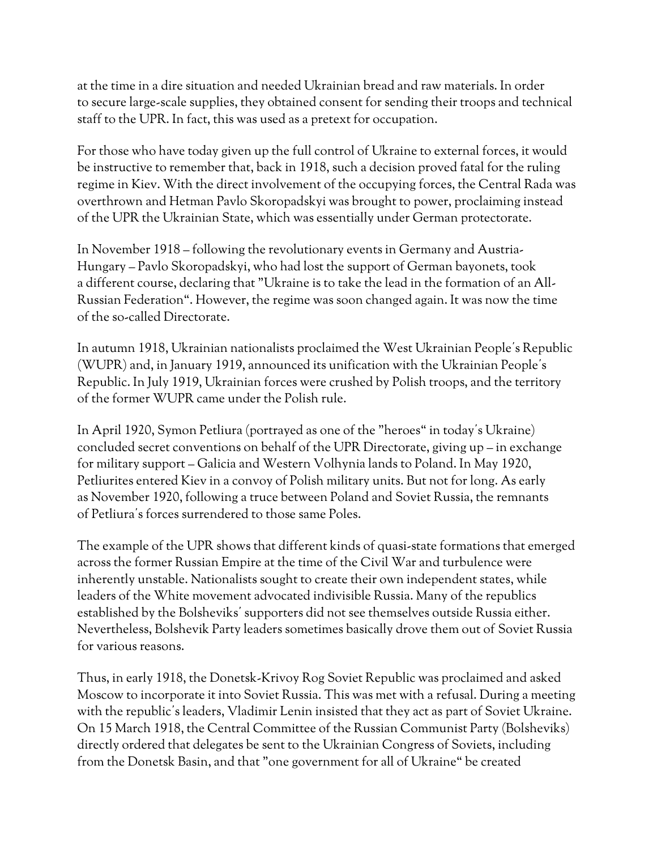at the time in a dire situation and needed Ukrainian bread and raw materials. In order to secure large-scale supplies, they obtained consent for sending their troops and technical staff to the UPR. In fact, this was used as a pretext for occupation.

For those who have today given up the full control of Ukraine to external forces, it would be instructive to remember that, back in 1918, such a decision proved fatal for the ruling regime in Kiev. With the direct involvement of the occupying forces, the Central Rada was overthrown and Hetman Pavlo Skoropadskyi was brought to power, proclaiming instead of the UPR the Ukrainian State, which was essentially under German protectorate.

In November 1918 – following the revolutionary events in Germany and Austria-Hungary – Pavlo Skoropadskyi, who had lost the support of German bayonets, took a different course, declaring that "Ukraine is to take the lead in the formation of an All-Russian Federation". However, the regime was soon changed again. It was now the time of the so-called Directorate.

In autumn 1918, Ukrainian nationalists proclaimed the West Ukrainian People's Republic (WUPR) and, in January 1919, announced its unification with the Ukrainian People's Republic. In July 1919, Ukrainian forces were crushed by Polish troops, and the territory of the former WUPR came under the Polish rule.

In April 1920, Symon Petliura (portrayed as one of the "heroes" in today's Ukraine) concluded secret conventions on behalf of the UPR Directorate, giving up – in exchange for military support – Galicia and Western Volhynia lands to Poland. In May 1920, Petliurites entered Kiev in a convoy of Polish military units. But not for long. As early as November 1920, following a truce between Poland and Soviet Russia, the remnants of Petliura's forces surrendered to those same Poles.

The example of the UPR shows that different kinds of quasi-state formations that emerged across the former Russian Empire at the time of the Civil War and turbulence were inherently unstable. Nationalists sought to create their own independent states, while leaders of the White movement advocated indivisible Russia. Many of the republics established by the Bolsheviks' supporters did not see themselves outside Russia either. Nevertheless, Bolshevik Party leaders sometimes basically drove them out of Soviet Russia for various reasons.

Thus, in early 1918, the Donetsk-Krivoy Rog Soviet Republic was proclaimed and asked Moscow to incorporate it into Soviet Russia. This was met with a refusal. During a meeting with the republic's leaders, Vladimir Lenin insisted that they act as part of Soviet Ukraine. On 15 March 1918, the Central Committee of the Russian Communist Party (Bolsheviks) directly ordered that delegates be sent to the Ukrainian Congress of Soviets, including from the Donetsk Basin, and that "one government for all of Ukraine" be created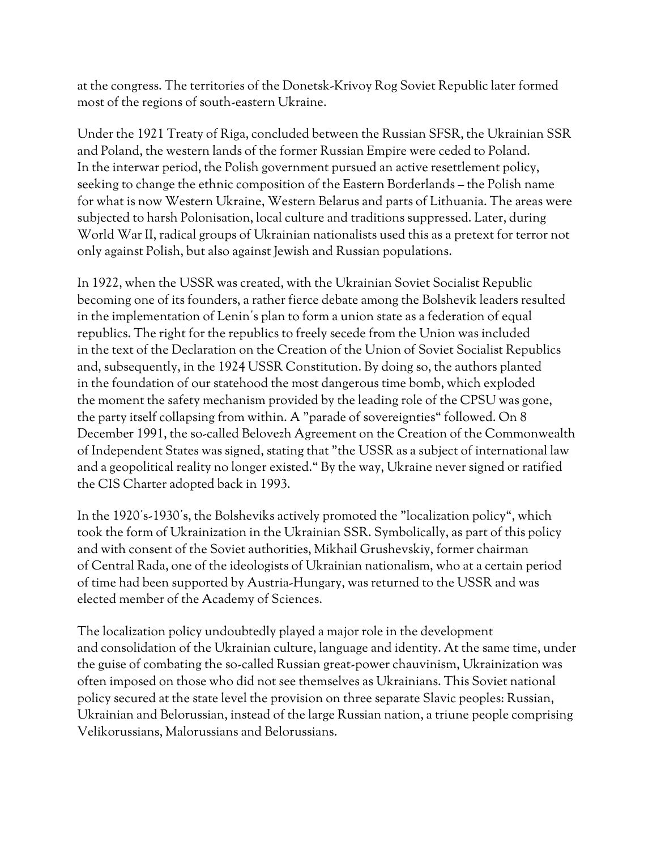at the congress. The territories of the Donetsk-Krivoy Rog Soviet Republic later formed most of the regions of south-eastern Ukraine.

Under the 1921 Treaty of Riga, concluded between the Russian SFSR, the Ukrainian SSR and Poland, the western lands of the former Russian Empire were ceded to Poland. In the interwar period, the Polish government pursued an active resettlement policy, seeking to change the ethnic composition of the Eastern Borderlands – the Polish name for what is now Western Ukraine, Western Belarus and parts of Lithuania. The areas were subjected to harsh Polonisation, local culture and traditions suppressed. Later, during World War II, radical groups of Ukrainian nationalists used this as a pretext for terror not only against Polish, but also against Jewish and Russian populations.

In 1922, when the USSR was created, with the Ukrainian Soviet Socialist Republic becoming one of its founders, a rather fierce debate among the Bolshevik leaders resulted in the implementation of Lenin's plan to form a union state as a federation of equal republics. The right for the republics to freely secede from the Union was included in the text of the Declaration on the Creation of the Union of Soviet Socialist Republics and, subsequently, in the 1924 USSR Constitution. By doing so, the authors planted in the foundation of our statehood the most dangerous time bomb, which exploded the moment the safety mechanism provided by the leading role of the CPSU was gone, the party itself collapsing from within. A "parade of sovereignties" followed. On 8 December 1991, the so-called Belovezh Agreement on the Creation of the Commonwealth of Independent States was signed, stating that "the USSR as a subject of international law and a geopolitical reality no longer existed." By the way, Ukraine never signed or ratified the CIS Charter adopted back in 1993.

In the 1920's-1930's, the Bolsheviks actively promoted the "localization policy", which took the form of Ukrainization in the Ukrainian SSR. Symbolically, as part of this policy and with consent of the Soviet authorities, Mikhail Grushevskiy, former chairman of Central Rada, one of the ideologists of Ukrainian nationalism, who at a certain period of time had been supported by Austria-Hungary, was returned to the USSR and was elected member of the Academy of Sciences.

The localization policy undoubtedly played a major role in the development and consolidation of the Ukrainian culture, language and identity. At the same time, under the guise of combating the so-called Russian great-power chauvinism, Ukrainization was often imposed on those who did not see themselves as Ukrainians. This Soviet national policy secured at the state level the provision on three separate Slavic peoples: Russian, Ukrainian and Belorussian, instead of the large Russian nation, a triune people comprising Velikorussians, Malorussians and Belorussians.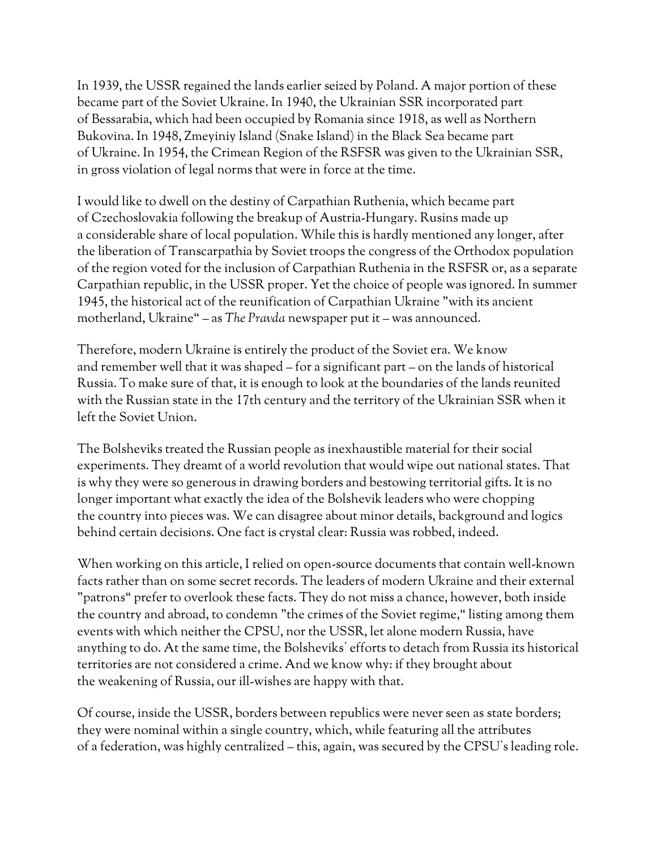In 1939, the USSR regained the lands earlier seized by Poland. A major portion of these became part of the Soviet Ukraine. In 1940, the Ukrainian SSR incorporated part of Bessarabia, which had been occupied by Romania since 1918, as well as Northern Bukovina. In 1948, Zmeyiniy Island (Snake Island) in the Black Sea became part of Ukraine. In 1954, the Crimean Region of the RSFSR was given to the Ukrainian SSR, in gross violation of legal norms that were in force at the time.

I would like to dwell on the destiny of Carpathian Ruthenia, which became part of Czechoslovakia following the breakup of Austria-Hungary. Rusins made up a considerable share of local population. While this is hardly mentioned any longer, after the liberation of Transcarpathia by Soviet troops the congress of the Orthodox population of the region voted for the inclusion of Carpathian Ruthenia in the RSFSR or, as a separate Carpathian republic, in the USSR proper. Yet the choice of people was ignored. In summer 1945, the historical act of the reunification of Carpathian Ukraine "with its ancient motherland, Ukraine" – as *The Pravda* newspaper put it – was announced.

Therefore, modern Ukraine is entirely the product of the Soviet era. We know and remember well that it was shaped – for a significant part – on the lands of historical Russia. To make sure of that, it is enough to look at the boundaries of the lands reunited with the Russian state in the 17th century and the territory of the Ukrainian SSR when it left the Soviet Union.

The Bolsheviks treated the Russian people as inexhaustible material for their social experiments. They dreamt of a world revolution that would wipe out national states. That is why they were so generous in drawing borders and bestowing territorial gifts. It is no longer important what exactly the idea of the Bolshevik leaders who were chopping the country into pieces was. We can disagree about minor details, background and logics behind certain decisions. One fact is crystal clear: Russia was robbed, indeed.

When working on this article, I relied on open-source documents that contain well-known facts rather than on some secret records. The leaders of modern Ukraine and their external "patrons" prefer to overlook these facts. They do not miss a chance, however, both inside the country and abroad, to condemn "the crimes of the Soviet regime," listing among them events with which neither the CPSU, nor the USSR, let alone modern Russia, have anything to do. At the same time, the Bolsheviks' efforts to detach from Russia its historical territories are not considered a crime. And we know why: if they brought about the weakening of Russia, our ill-wishes are happy with that.

Of course, inside the USSR, borders between republics were never seen as state borders; they were nominal within a single country, which, while featuring all the attributes of a federation, was highly centralized – this, again, was secured by the CPSU's leading role.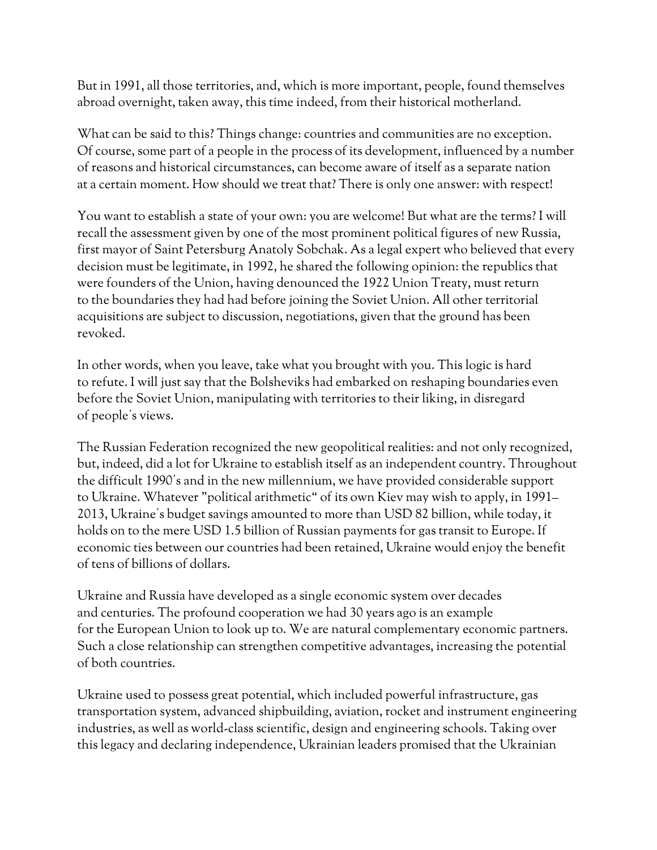But in 1991, all those territories, and, which is more important, people, found themselves abroad overnight, taken away, this time indeed, from their historical motherland.

What can be said to this? Things change: countries and communities are no exception. Of course, some part of a people in the process of its development, influenced by a number of reasons and historical circumstances, can become aware of itself as a separate nation at a certain moment. How should we treat that? There is only one answer: with respect!

You want to establish a state of your own: you are welcome! But what are the terms? I will recall the assessment given by one of the most prominent political figures of new Russia, first mayor of Saint Petersburg Anatoly Sobchak. As a legal expert who believed that every decision must be legitimate, in 1992, he shared the following opinion: the republics that were founders of the Union, having denounced the 1922 Union Treaty, must return to the boundaries they had had before joining the Soviet Union. All other territorial acquisitions are subject to discussion, negotiations, given that the ground has been revoked.

In other words, when you leave, take what you brought with you. This logic is hard to refute. I will just say that the Bolsheviks had embarked on reshaping boundaries even before the Soviet Union, manipulating with territories to their liking, in disregard of people's views.

The Russian Federation recognized the new geopolitical realities: and not only recognized, but, indeed, did a lot for Ukraine to establish itself as an independent country. Throughout the difficult 1990's and in the new millennium, we have provided considerable support to Ukraine. Whatever "political arithmetic" of its own Kiev may wish to apply, in 1991– 2013, Ukraine's budget savings amounted to more than USD 82 billion, while today, it holds on to the mere USD 1.5 billion of Russian payments for gas transit to Europe. If economic ties between our countries had been retained, Ukraine would enjoy the benefit of tens of billions of dollars.

Ukraine and Russia have developed as a single economic system over decades and centuries. The profound cooperation we had 30 years ago is an example for the European Union to look up to. We are natural complementary economic partners. Such a close relationship can strengthen competitive advantages, increasing the potential of both countries.

Ukraine used to possess great potential, which included powerful infrastructure, gas transportation system, advanced shipbuilding, aviation, rocket and instrument engineering industries, as well as world-class scientific, design and engineering schools. Taking over this legacy and declaring independence, Ukrainian leaders promised that the Ukrainian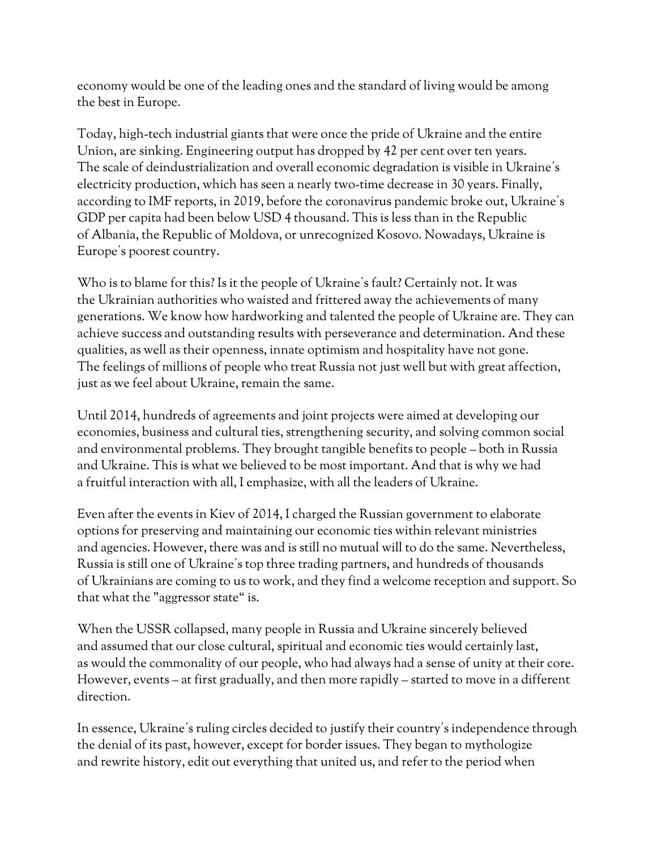economy would be one of the leading ones and the standard of living would be among the best in Europe.

Today, high-tech industrial giants that were once the pride of Ukraine and the entire Union, are sinking. Engineering output has dropped by 42 per cent over ten years. The scale of deindustrialization and overall economic degradation is visible in Ukraine's electricity production, which has seen a nearly two-time decrease in 30 years. Finally, according to IMF reports, in 2019, before the coronavirus pandemic broke out, Ukraine's GDP per capita had been below USD 4 thousand. This is less than in the Republic of Albania, the Republic of Moldova, or unrecognized Kosovo. Nowadays, Ukraine is Europe's poorest country.

Who is to blame for this? Is it the people of Ukraine's fault? Certainly not. It was the Ukrainian authorities who waisted and frittered away the achievements of many generations. We know how hardworking and talented the people of Ukraine are. They can achieve success and outstanding results with perseverance and determination. And these qualities, as well as their openness, innate optimism and hospitality have not gone. The feelings of millions of people who treat Russia not just well but with great affection, just as we feel about Ukraine, remain the same.

Until 2014, hundreds of agreements and joint projects were aimed at developing our economies, business and cultural ties, strengthening security, and solving common social and environmental problems. They brought tangible benefits to people – both in Russia and Ukraine. This is what we believed to be most important. And that is why we had a fruitful interaction with all, I emphasize, with all the leaders of Ukraine.

Even after the events in Kiev of 2014, I charged the Russian government to elaborate options for preserving and maintaining our economic ties within relevant ministries and agencies. However, there was and is still no mutual will to do the same. Nevertheless, Russia is still one of Ukraine's top three trading partners, and hundreds of thousands of Ukrainians are coming to us to work, and they find a welcome reception and support. So that what the "aggressor state" is.

When the USSR collapsed, many people in Russia and Ukraine sincerely believed and assumed that our close cultural, spiritual and economic ties would certainly last, as would the commonality of our people, who had always had a sense of unity at their core. However, events – at first gradually, and then more rapidly – started to move in a different direction.

In essence, Ukraine's ruling circles decided to justify their country's independence through the denial of its past, however, except for border issues. They began to mythologize and rewrite history, edit out everything that united us, and refer to the period when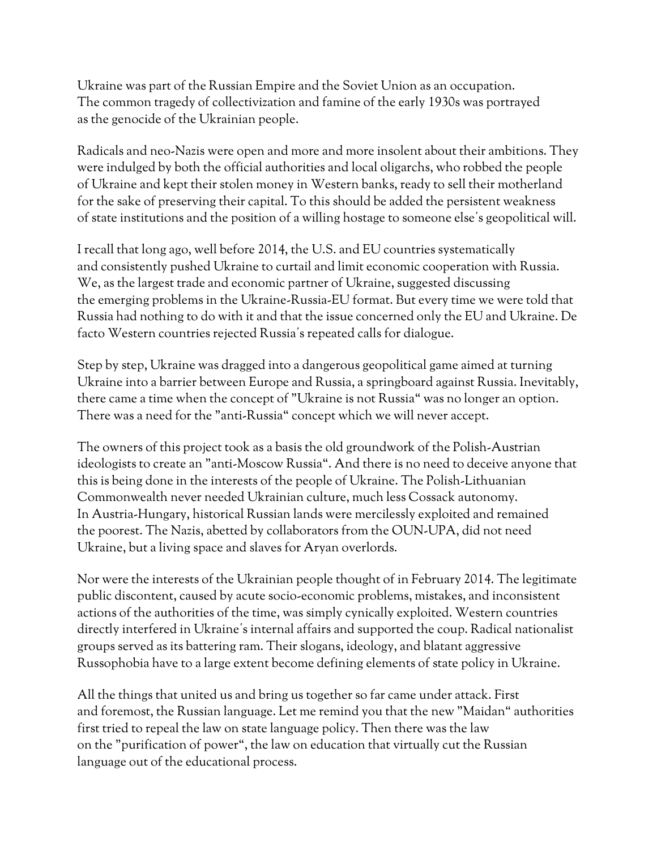Ukraine was part of the Russian Empire and the Soviet Union as an occupation. The common tragedy of collectivization and famine of the early 1930s was portrayed as the genocide of the Ukrainian people.

Radicals and neo-Nazis were open and more and more insolent about their ambitions. They were indulged by both the official authorities and local oligarchs, who robbed the people of Ukraine and kept their stolen money in Western banks, ready to sell their motherland for the sake of preserving their capital. To this should be added the persistent weakness of state institutions and the position of a willing hostage to someone else's geopolitical will.

I recall that long ago, well before 2014, the U.S. and EU countries systematically and consistently pushed Ukraine to curtail and limit economic cooperation with Russia. We, as the largest trade and economic partner of Ukraine, suggested discussing the emerging problems in the Ukraine-Russia-EU format. But every time we were told that Russia had nothing to do with it and that the issue concerned only the EU and Ukraine. De facto Western countries rejected Russia's repeated calls for dialogue.

Step by step, Ukraine was dragged into a dangerous geopolitical game aimed at turning Ukraine into a barrier between Europe and Russia, a springboard against Russia. Inevitably, there came a time when the concept of "Ukraine is not Russia" was no longer an option. There was a need for the "anti-Russia" concept which we will never accept.

The owners of this project took as a basis the old groundwork of the Polish-Austrian ideologists to create an "anti-Moscow Russia". And there is no need to deceive anyone that this is being done in the interests of the people of Ukraine. The Polish-Lithuanian Commonwealth never needed Ukrainian culture, much less Cossack autonomy. In Austria-Hungary, historical Russian lands were mercilessly exploited and remained the poorest. The Nazis, abetted by collaborators from the OUN-UPA, did not need Ukraine, but a living space and slaves for Aryan overlords.

Nor were the interests of the Ukrainian people thought of in February 2014. The legitimate public discontent, caused by acute socio-economic problems, mistakes, and inconsistent actions of the authorities of the time, was simply cynically exploited. Western countries directly interfered in Ukraine's internal affairs and supported the coup. Radical nationalist groups served as its battering ram. Their slogans, ideology, and blatant aggressive Russophobia have to a large extent become defining elements of state policy in Ukraine.

All the things that united us and bring us together so far came under attack. First and foremost, the Russian language. Let me remind you that the new "Maidan" authorities first tried to repeal the law on state language policy. Then there was the law on the "purification of power", the law on education that virtually cut the Russian language out of the educational process.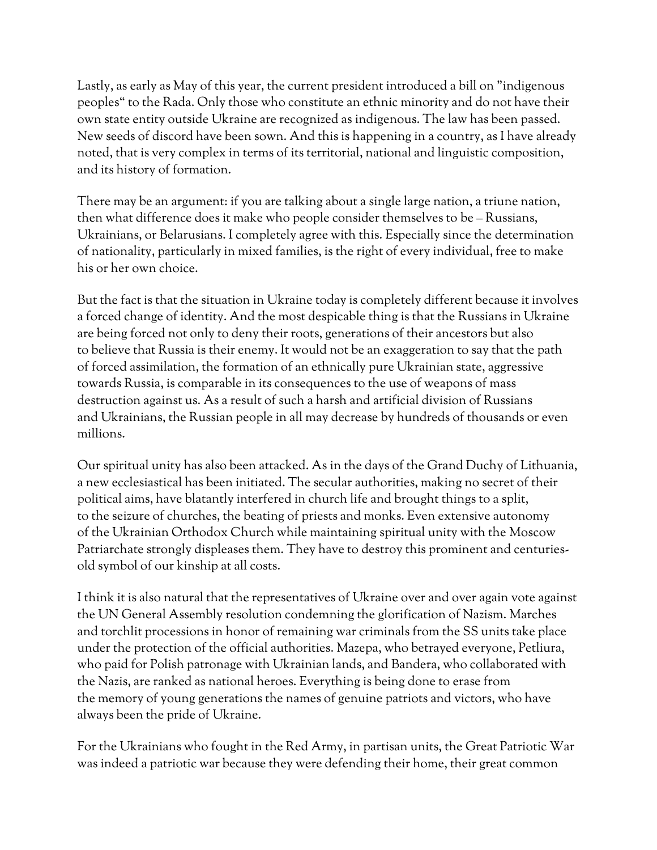Lastly, as early as May of this year, the current president introduced a bill on "indigenous peoples" to the Rada. Only those who constitute an ethnic minority and do not have their own state entity outside Ukraine are recognized as indigenous. The law has been passed. New seeds of discord have been sown. And this is happening in a country, as I have already noted, that is very complex in terms of its territorial, national and linguistic composition, and its history of formation.

There may be an argument: if you are talking about a single large nation, a triune nation, then what difference does it make who people consider themselves to be – Russians, Ukrainians, or Belarusians. I completely agree with this. Especially since the determination of nationality, particularly in mixed families, is the right of every individual, free to make his or her own choice.

But the fact is that the situation in Ukraine today is completely different because it involves a forced change of identity. And the most despicable thing is that the Russians in Ukraine are being forced not only to deny their roots, generations of their ancestors but also to believe that Russia is their enemy. It would not be an exaggeration to say that the path of forced assimilation, the formation of an ethnically pure Ukrainian state, aggressive towards Russia, is comparable in its consequences to the use of weapons of mass destruction against us. As a result of such a harsh and artificial division of Russians and Ukrainians, the Russian people in all may decrease by hundreds of thousands or even millions.

Our spiritual unity has also been attacked. As in the days of the Grand Duchy of Lithuania, a new ecclesiastical has been initiated. The secular authorities, making no secret of their political aims, have blatantly interfered in church life and brought things to a split, to the seizure of churches, the beating of priests and monks. Even extensive autonomy of the Ukrainian Orthodox Church while maintaining spiritual unity with the Moscow Patriarchate strongly displeases them. They have to destroy this prominent and centuriesold symbol of our kinship at all costs.

I think it is also natural that the representatives of Ukraine over and over again vote against the UN General Assembly resolution condemning the glorification of Nazism. Marches and torchlit processions in honor of remaining war criminals from the SS units take place under the protection of the official authorities. Mazepa, who betrayed everyone, Petliura, who paid for Polish patronage with Ukrainian lands, and Bandera, who collaborated with the Nazis, are ranked as national heroes. Everything is being done to erase from the memory of young generations the names of genuine patriots and victors, who have always been the pride of Ukraine.

For the Ukrainians who fought in the Red Army, in partisan units, the Great Patriotic War was indeed a patriotic war because they were defending their home, their great common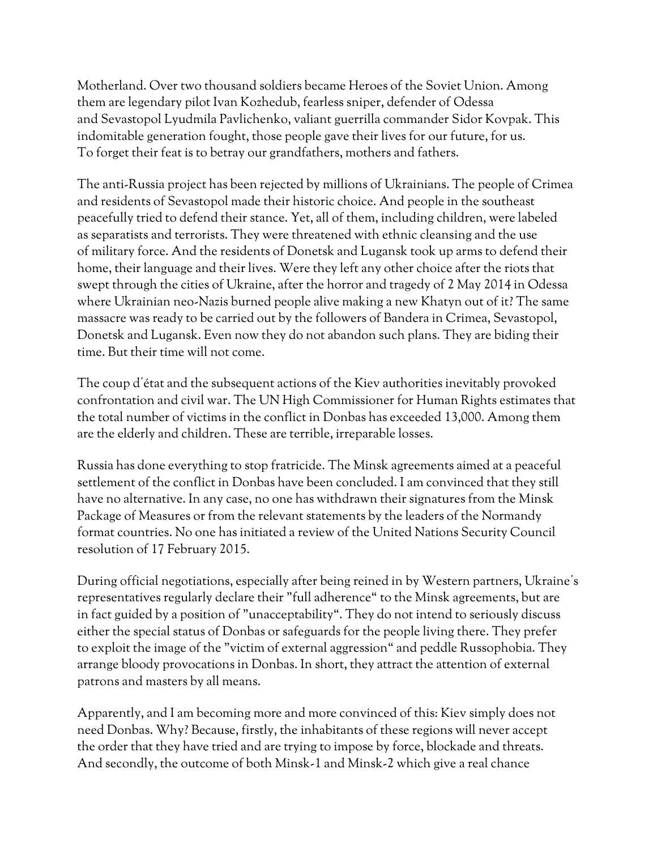Motherland. Over two thousand soldiers became Heroes of the Soviet Union. Among them are legendary pilot Ivan Kozhedub, fearless sniper, defender of Odessa and Sevastopol Lyudmila Pavlichenko, valiant guerrilla commander Sidor Kovpak. This indomitable generation fought, those people gave their lives for our future, for us. To forget their feat is to betray our grandfathers, mothers and fathers.

The anti-Russia project has been rejected by millions of Ukrainians. The people of Crimea and residents of Sevastopol made their historic choice. And people in the southeast peacefully tried to defend their stance. Yet, all of them, including children, were labeled as separatists and terrorists. They were threatened with ethnic cleansing and the use of military force. And the residents of Donetsk and Lugansk took up arms to defend their home, their language and their lives. Were they left any other choice after the riots that swept through the cities of Ukraine, after the horror and tragedy of 2 May 2014 in Odessa where Ukrainian neo-Nazis burned people alive making a new Khatyn out of it? The same massacre was ready to be carried out by the followers of Bandera in Crimea, Sevastopol, Donetsk and Lugansk. Even now they do not abandon such plans. They are biding their time. But their time will not come.

The coup d'état and the subsequent actions of the Kiev authorities inevitably provoked confrontation and civil war. The UN High Commissioner for Human Rights estimates that the total number of victims in the conflict in Donbas has exceeded 13,000. Among them are the elderly and children. These are terrible, irreparable losses.

Russia has done everything to stop fratricide. The Minsk agreements aimed at a peaceful settlement of the conflict in Donbas have been concluded. I am convinced that they still have no alternative. In any case, no one has withdrawn their signatures from the Minsk Package of Measures or from the relevant statements by the leaders of the Normandy format countries. No one has initiated a review of the United Nations Security Council resolution of 17 February 2015.

During official negotiations, especially after being reined in by Western partners, Ukraine's representatives regularly declare their "full adherence" to the Minsk agreements, but are in fact guided by a position of "unacceptability". They do not intend to seriously discuss either the special status of Donbas or safeguards for the people living there. They prefer to exploit the image of the "victim of external aggression" and peddle Russophobia. They arrange bloody provocations in Donbas. In short, they attract the attention of external patrons and masters by all means.

Apparently, and I am becoming more and more convinced of this: Kiev simply does not need Donbas. Why? Because, firstly, the inhabitants of these regions will never accept the order that they have tried and are trying to impose by force, blockade and threats. And secondly, the outcome of both Minsk-1 and Minsk-2 which give a real chance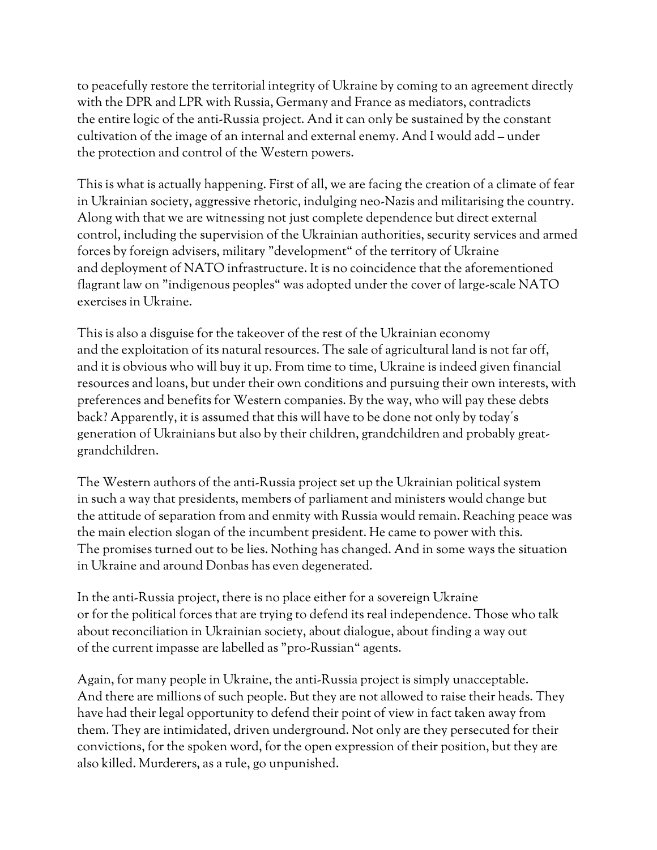to peacefully restore the territorial integrity of Ukraine by coming to an agreement directly with the DPR and LPR with Russia, Germany and France as mediators, contradicts the entire logic of the anti-Russia project. And it can only be sustained by the constant cultivation of the image of an internal and external enemy. And I would add – under the protection and control of the Western powers.

This is what is actually happening. First of all, we are facing the creation of a climate of fear in Ukrainian society, aggressive rhetoric, indulging neo-Nazis and militarising the country. Along with that we are witnessing not just complete dependence but direct external control, including the supervision of the Ukrainian authorities, security services and armed forces by foreign advisers, military "development" of the territory of Ukraine and deployment of NATO infrastructure. It is no coincidence that the aforementioned flagrant law on "indigenous peoples" was adopted under the cover of large-scale NATO exercises in Ukraine.

This is also a disguise for the takeover of the rest of the Ukrainian economy and the exploitation of its natural resources. The sale of agricultural land is not far off, and it is obvious who will buy it up. From time to time, Ukraine is indeed given financial resources and loans, but under their own conditions and pursuing their own interests, with preferences and benefits for Western companies. By the way, who will pay these debts back? Apparently, it is assumed that this will have to be done not only by today's generation of Ukrainians but also by their children, grandchildren and probably greatgrandchildren.

The Western authors of the anti-Russia project set up the Ukrainian political system in such a way that presidents, members of parliament and ministers would change but the attitude of separation from and enmity with Russia would remain. Reaching peace was the main election slogan of the incumbent president. He came to power with this. The promises turned out to be lies. Nothing has changed. And in some ways the situation in Ukraine and around Donbas has even degenerated.

In the anti-Russia project, there is no place either for a sovereign Ukraine or for the political forces that are trying to defend its real independence. Those who talk about reconciliation in Ukrainian society, about dialogue, about finding a way out of the current impasse are labelled as "pro-Russian" agents.

Again, for many people in Ukraine, the anti-Russia project is simply unacceptable. And there are millions of such people. But they are not allowed to raise their heads. They have had their legal opportunity to defend their point of view in fact taken away from them. They are intimidated, driven underground. Not only are they persecuted for their convictions, for the spoken word, for the open expression of their position, but they are also killed. Murderers, as a rule, go unpunished.